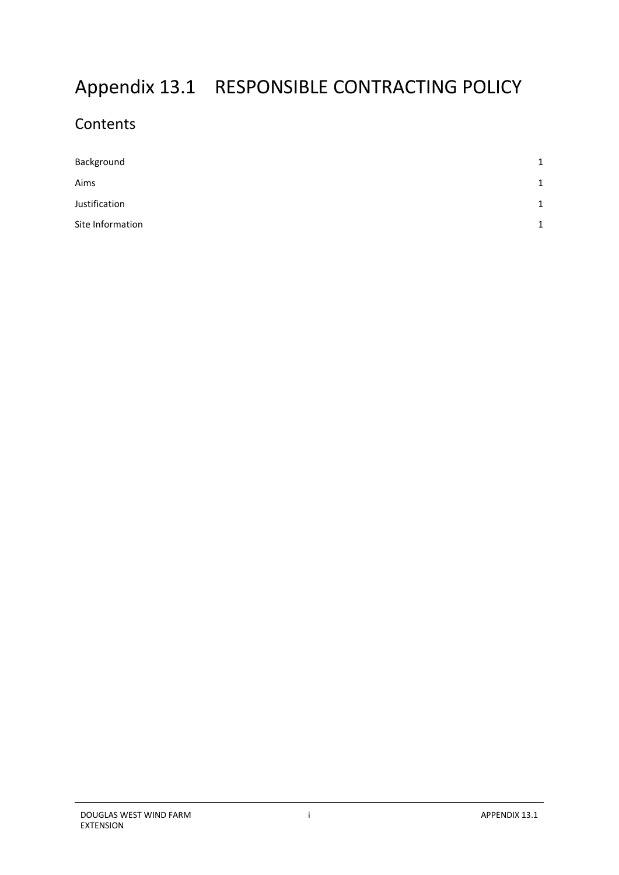# Appendix 13.1 RESPONSIBLE CONTRACTING POLICY

## **Contents**

| Background       | $\mathbf{1}$ |
|------------------|--------------|
| Aims             | $\mathbf{1}$ |
| Justification    | $\mathbf{1}$ |
| Site Information | $\mathbf{1}$ |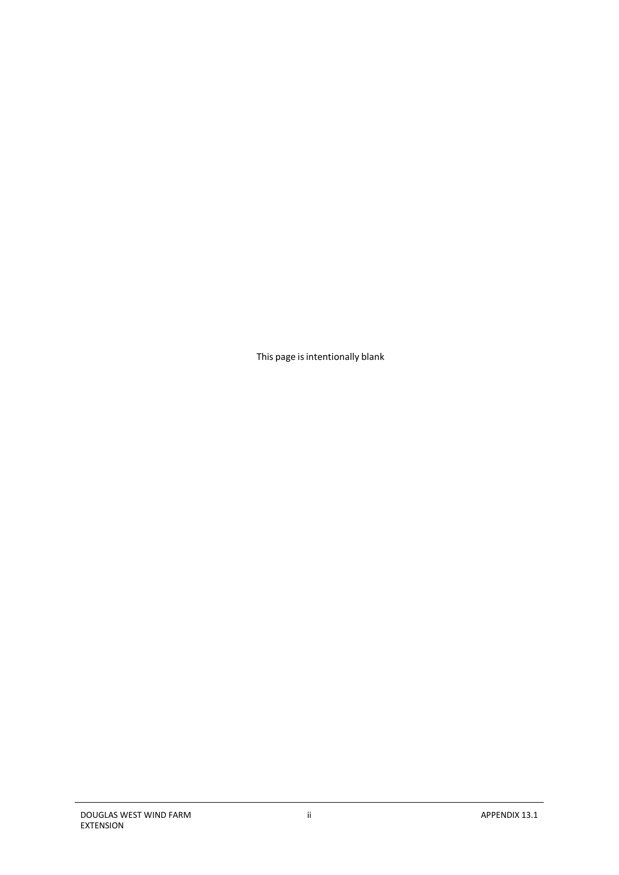This page is intentionally blank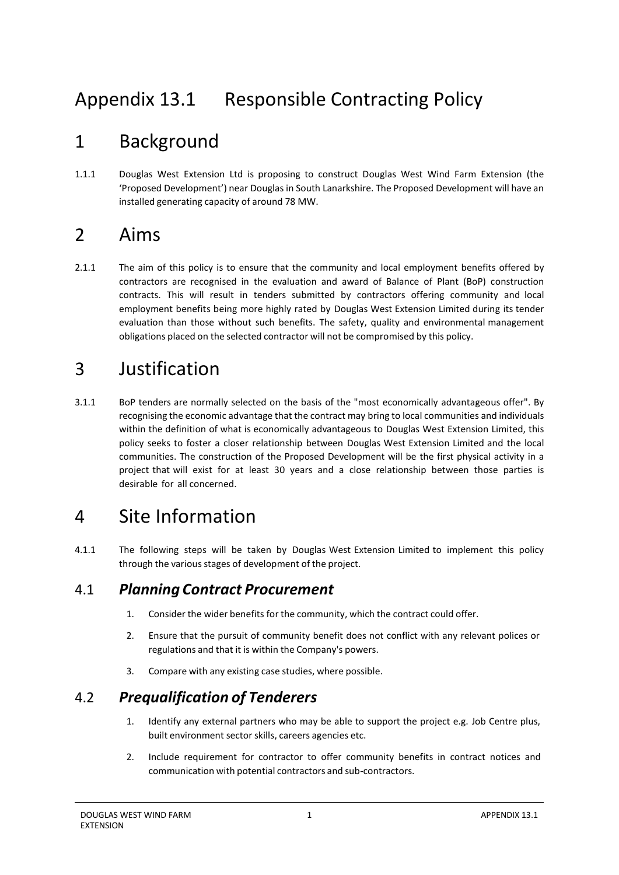# Appendix 13.1 Responsible Contracting Policy

## 1 Background

1.1.1 Douglas West Extension Ltd is proposing to construct Douglas West Wind Farm Extension (the 'Proposed Development') near Douglas in South Lanarkshire. The Proposed Development will have an installed generating capacity of around 78 MW.

## 2 Aims

2.1.1 The aim of this policy is to ensure that the community and local employment benefits offered by contractors are recognised in the evaluation and award of Balance of Plant (BoP) construction contracts. This will result in tenders submitted by contractors offering community and local employment benefits being more highly rated by Douglas West Extension Limited during its tender evaluation than those without such benefits. The safety, quality and environmental management obligations placed on the selected contractor will not be compromised by this policy.

## 3 Justification

3.1.1 BoP tenders are normally selected on the basis of the "most economically advantageous offer". By recognising the economic advantage that the contract may bring to local communities and individuals within the definition of what is economically advantageous to Douglas West Extension Limited, this policy seeks to foster a closer relationship between Douglas West Extension Limited and the local communities. The construction of the Proposed Development will be the first physical activity in a project that will exist for at least 30 years and a close relationship between those parties is desirable for all concerned.

## 4 Site Information

4.1.1 The following steps will be taken by Douglas West Extension Limited to implement this policy through the various stages of development of the project.

#### 4.1 *Planning Contract Procurement*

- 1. Consider the wider benefits for the community, which the contract could offer.
- 2. Ensure that the pursuit of community benefit does not conflict with any relevant polices or regulations and that it is within the Company's powers.
- 3. Compare with any existing case studies, where possible.

### 4.2 *Prequalification of Tenderers*

- 1. Identify any external partners who may be able to support the project e.g. Job Centre plus, built environment sector skills, careers agencies etc.
- 2. Include requirement for contractor to offer community benefits in contract notices and communication with potential contractors and sub-contractors.